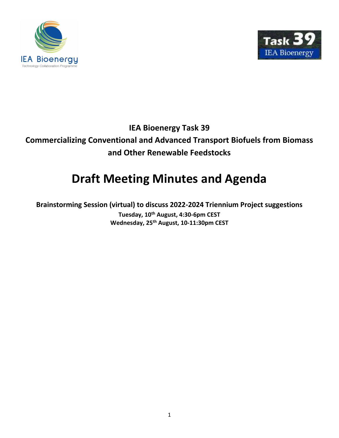



# **IEA Bioenergy Task 39 Commercializing Conventional and Advanced Transport Biofuels from Biomass and Other Renewable Feedstocks**

# **Draft Meeting Minutes and Agenda**

**Brainstorming Session (virtual) to discuss 2022-2024 Triennium Project suggestions Tuesday, 10th August, 4:30-6pm CEST Wednesday, 25th August, 10-11:30pm CEST**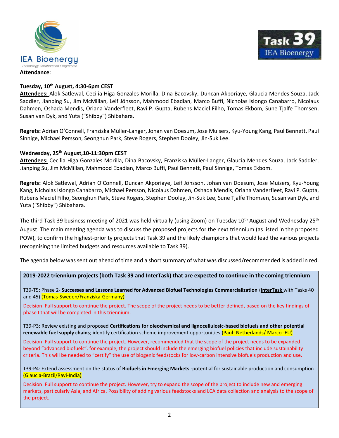



# **Tuesday, 10th August, 4:30-6pm CEST**

**Attendees:** Alok Satlewal, Cecilia Higa Gonzales Morilla, Dina Bacovsky, Duncan Akporiaye, Glaucia Mendes Souza, Jack Saddler, Jianping Su, Jim McMillan, Leif Jönsson, Mahmood Ebadian, Marco Buffi, Nicholas Islongo Canabarro, Nicolaus Dahmen, Oshada Mendis, Oriana Vanderfleet, Ravi P. Gupta, Rubens Maciel Filho, Tomas Ekbom, Sune Tjalfe Thomsen, Susan van Dyk, and Yuta ("Shibby") Shibahara.

**Regrets:** Adrian O'Connell, Franziska Müller-Langer, Johan van Doesum, Jose Muisers, Kyu-Young Kang, Paul Bennett, Paul Sinnige, Michael Persson, Seonghun Park, Steve Rogers, Stephen Dooley, Jin-Suk Lee.

# **Wednesday, 25th August,10-11:30pm CEST**

**Attendees:** Cecilia Higa Gonzales Morilla, Dina Bacovsky, Franziska Müller-Langer, Glaucia Mendes Souza, Jack Saddler, Jianping Su, Jim McMillan, Mahmood Ebadian, Marco Buffi, Paul Bennett, Paul Sinnige, Tomas Ekbom.

**Regrets:** Alok Satlewal, Adrian O'Connell, Duncan Akporiaye, Leif Jönsson, Johan van Doesum, Jose Muisers, Kyu-Young Kang, Nicholas Islongo Canabarro, Michael Persson, Nicolaus Dahmen, Oshada Mendis, Oriana Vanderfleet, Ravi P. Gupta, Rubens Maciel Filho, Seonghun Park, Steve Rogers, Stephen Dooley, Jin-Suk Lee, Sune Tjalfe Thomsen, Susan van Dyk, and Yuta ("Shibby") Shibahara.

The third Task 39 business meeting of 2021 was held virtually (using Zoom) on Tuesday  $10^{th}$  August and Wednesday 25<sup>th</sup> August. The main meeting agenda was to discuss the proposed projects for the next triennium (as listed in the proposed POW), to confirm the highest-priority projects that Task 39 and the likely champions that would lead the various projects (recognising the limited budgets and resources available to Task 39).

The agenda below was sent out ahead of time and a short summary of what was discussed/recommended is added in red.

**2019-2022 triennium projects (both Task 39 and InterTask) that are expected to continue in the coming triennium**

T39-T5: Phase 2- **Successes and Lessons Learned for Advanced Biofuel Technologies Commercialization** (**InterTask** with Tasks 40 and 45) (Tomas-Sweden/Franziska-Germany)

Decision: Full support to continue the project. The scope of the project needs to be better defined, based on the key findings of phase I that will be completed in this triennium.

T39-P3: Review existing and proposed **Certifications for oleochemical and lignocellulosic-based biofuels and other potential renewable fuel supply chains**; identify certification scheme improvement opportunities (Paul- Netherlands/ Marco -EU)

Decision: Full support to continue the project. However, recommended that the scope of the project needs to be expanded beyond "advanced biofuels". for example, the project should include the emerging biofuel policies that include sustainability criteria. This will be needed to "certify" the use of biogenic feedstocks for low-carbon intensive biofuels production and use.

T39-P4: Extend assessment on the status of **Biofuels in Emerging Markets** -potential for sustainable production and consumption (Glaucia-Brazil/Ravi-India)

Decision: Full support to continue the project. However, try to expand the scope of the project to include new and emerging markets, particularly Asia; and Africa. Possibility of adding various feedstocks and LCA data collection and analysis to the scope of the project.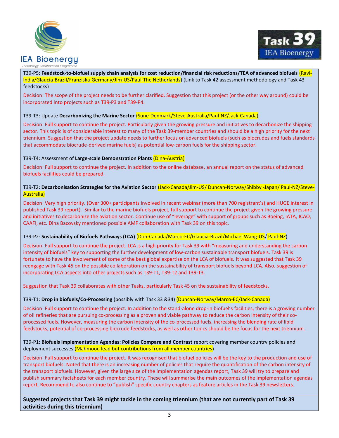



L T39-P5: **Feedstock-to-biofuel supply chain analysis for cost reduction/financial risk reductions/TEA of advanced biofuels** (Ravi-India/Glaucia-Brazil/Franziska-Germany/Jim-US/Paul-The Netherlands) (Link to Task 42 assessment methodology and Task 43 feedstocks)

Decision: The scope of the project needs to be further clarified. Suggestion that this project (or the other way around) could be incorporated into projects such as T39-P3 and T39-P4.

# T39-T3: Update **Decarbonizing the Marine Sector** (Sune-Denmark/Steve-Australia/Paul-NZ/Jack-Canada)

Decision: Full support to continue the project. Particularly given the growing pressure and initiatives to decarbonize the shipping sector. This topic is of considerable interest to many of the Task 39-member countries and should be a high priority for the next triennium. Suggestion that the project update needs to further focus on advanced biofuels (such as biocrudes and fuels standards that accommodate biocrude-derived marine fuels) as potential low-carbon fuels for the shipping sector.

#### T39-T4: Assessment of **Large-scale Demonstration Plants** (Dina-Austria)

Decision: Full support to continue the project. In addition to the online database, an annual report on the status of advanced biofuels facilities could be prepared.

#### T39-T2: **Decarbonisation Strategies for the Aviation Sector** (Jack-Canada/Jim-US/ Duncan-Norway/Shibby -Japan/ Paul-NZ/Steve-Australia)

Decision: Very high priority. (Over 300+ participants involved in recent webinar (more than 700 registrant's) and HUGE interest in published Task 39 report). Similar to the marine biofuels project, full support to continue the project given the growing pressure and initiatives to decarbonize the aviation sector. Continue use of "leverage" with support of groups such as Boeing, IATA, ICAO, CAAFI, etc. Dina Bacovsky mentioned possible AMF collaboration with Task 39 on this topic.

#### T39-P2: **Sustainability of Biofuels Pathways (LCA)** (Don-Canada/Marco-EC/Glaucia-Brazil/Michael Wang-US/ Paul-NZ)

Decision: Full support to continue the project. LCA is a high priority for Task 39 with "measuring and understanding the carbon intensity of biofuels" key to supporting the further development of low-carbon sustainable transport biofuels. Task 39 is fortunate to have the involvement of some of the best global expertise on the LCA of biofuels. It was suggested that Task 39 reengage with Task 45 on the possible collaboration on the sustainability of transport biofuels beyond LCA. Also, suggestion of incorporating LCA aspects into other projects such as T39-T1, T39-T2 and T39-T3.

Suggestion that Task 39 collaborates with other Tasks, particularly Task 45 on the sustainability of feedstocks.

#### T39-T1: **Drop in biofuels/Co-Processing** (possibly with Task 33 &34) (Duncan-Norway/Marco-EC/Jack-Canada)

Decision: Full support to continue the project. In addition to the stand-alone drop-in biofuel's facilities, there is a growing number of oil refineries that are pursuing co-processing as a proven and viable pathway to reduce the carbon intensity of their coprocessed fuels. However, measuring the carbon intensity of the co-processed fuels, increasing the blending rate of lipid feedstocks, potential of co-processing biocrude feedstocks, as well as other topics should be the focus for the next triennium.

#### T39-P1: **Biofuels Implementation Agendas: Policies Compare and Contrast** report covering member country policies and deployment successes (Mahmood lead but contributions from all member countries)

Decision: Full support to continue the project. It was recognised that biofuel policies will be the key to the production and use of transport biofuels. Noted that there is an increasing number of policies that require the quantification of the carbon intensity of the transport biofuels. However, given the large size of the implementation agendas report, Task 39 will try to prepare and publish summary factsheets for each member country. These will summarise the main outcomes of the implementation agendas report. Recommend to also continue to "publish" specific country chapters as feature articles in the Task 39 newsletters.

**Suggested projects that Task 39 might tackle in the coming triennium (that are not currently part of Task 39 activities during this triennium)**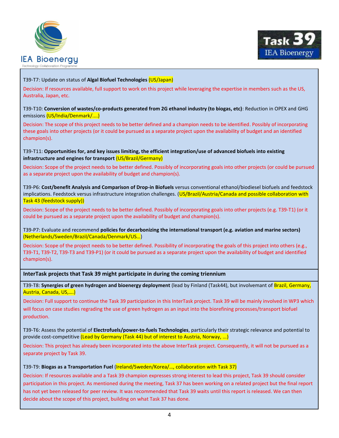



# T39-T7: Update on status of **Algal Biofuel Technologies** (US/Japan)

Decision: If resources available, full support to work on this project while leveraging the expertise in members such as the US, Australia, Japan, etc.

#### T39-T10: **Conversion of wastes/co-products generated from 2G ethanol industry (to biogas, etc)**: Reduction in OPEX and GHG emissions (US/India/Denmark/....)

Decision: The scope of this project needs to be better defined and a champion needs to be identified. Possibly of incorporating these goals into other projects (or it could be pursued as a separate project upon the availability of budget and an identified champion(s).

### T39-T11: **Opportunities for, and key issues limiting, the efficient integration/use of advanced biofuels into existing infrastructure and engines for transport** (US/Brazil/Germany)

Decision: Scope of the project needs to be better defined. Possibly of incorporating goals into other projects (or could be pursued as a separate project upon the availability of budget and champion(s).

T39-P6: **Cost/benefit Analysis and Comparison of Drop-in Biofuels** versus conventional ethanol/biodiesel biofuels and feedstock implications. Feedstock versus infrastructure integration challenges. (US/Brazil/Austria/Canada and possible collaboration with Task 43 (feedstock supply))

Decision: Scope of the project needs to be better defined. Possibly of incorporating goals into other projects (e.g. T39-T1) (or it could be pursued as a separate project upon the availability of budget and champion(s).

T39-P7: Evaluate and recommend **policies for decarbonizing the international transport (e.g. aviation and marine sectors)** (Netherlands/Sweden/Brazil/Canada/Denmark/US…)

Decision: Scope of the project needs to be better defined. Possibility of incorporating the goals of this project into others (e.g., T39-T1, T39-T2, T39-T3 and T39-P1) (or it could be pursued as a separate project upon the availability of budget and identified champion(s).

# **InterTask projects that Task 39 might participate in during the coming triennium**

T39-T8: **Synergies of green hydrogen and bioenergy deployment** (lead by Finland (Task44), but involvemant of Brazil, Germany, Austria, Canada, US,….)

Decision: Full support to continue the Task 39 participation in this InterTask project. Task 39 will be mainly involved in WP3 which will focus on case studies regrading the use of green hydrogen as an input into the biorefining processes/transport biofuel production.

T39-T6: Assess the potential of **Electrofuels/power-to-fuels Technologies**, particularly their strategic relevance and potential to provide cost-competitive (Lead by Germany (Task 44) but of interest to Austria, Norway, ...)

Decision: This project has already been incorporated into the above InterTask project. Consequently, it will not be pursued as a separate project by Task 39.

#### T39-T9: **Biogas as a Transportation Fuel** (Ireland/Sweden/Korea/…, collaboration with Task 37)

Decision: If resources available and a Task 39 champion expresses strong interest to lead this project, Task 39 should consider participation in this project. As mentioned during the meeting, Task 37 has been working on a related project but the final report has not yet been released for peer review. It was recommended that Task 39 waits until this report is released. We can then decide about the scope of this project, building on what Task 37 has done.